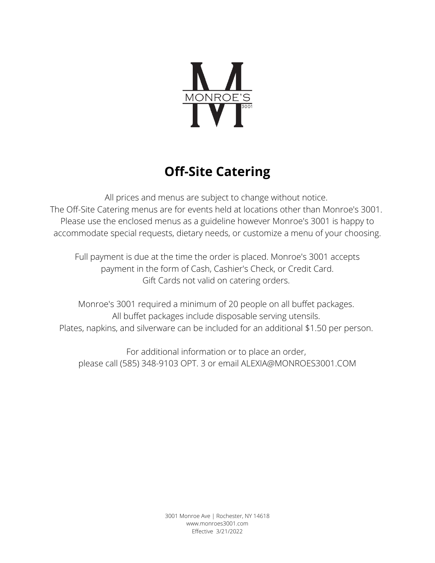

# **Off-Site Catering**

All prices and menus are subject to change without notice. The Off-Site Catering menus are for events held at locations other than Monroe's 3001. Please use the enclosed menus as a guideline however Monroe's 3001 is happy to accommodate special requests, dietary needs, or customize a menu of your choosing.

Full payment is due at the time the order is placed. Monroe's 3001 accepts payment in the form of Cash, Cashier's Check, or Credit Card. Gift Cards not valid on catering orders.

Monroe's 3001 required a minimum of 20 people on all buffet packages. All buffet packages include disposable serving utensils. Plates, napkins, and silverware can be included for an additional \$1.50 per person.

For additional information or to place an order, please call (585) 348-9103 OPT. 3 or email ALEXIA@MONROES3001.COM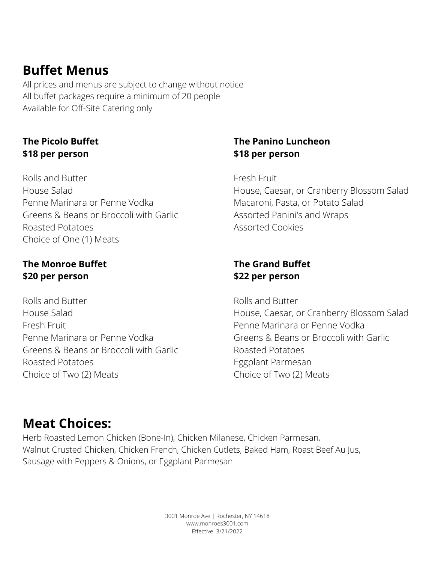### **Buffet Menus**

All prices and menus are subject to change without notice All buffet packages require a minimum of 20 people Available for Off-Site Catering only

#### **The Picolo Buffet \$18 per person**

Rolls and Butter House Salad Penne Marinara or Penne Vodka Greens & Beans or Broccoli with Garlic Roasted Potatoes Choice of One (1) Meats

#### **The Monroe Buffet \$20 per person**

Rolls and Butter House Salad Fresh Fruit Penne Marinara or Penne Vodka Greens & Beans or Broccoli with Garlic Roasted Potatoes Choice of Two (2) Meats

#### **The Panino Luncheon \$18 per person**

Fresh Fruit

House, Caesar, or Cranberry Blossom Salad Macaroni, Pasta, or Potato Salad Assorted Panini's and Wraps Assorted Cookies

#### **The Grand Buffet \$22 per person**

Rolls and Butter House, Caesar, or Cranberry Blossom Salad Penne Marinara or Penne Vodka Greens & Beans or Broccoli with Garlic Roasted Potatoes Eggplant Parmesan Choice of Two (2) Meats

### **Meat Choices:**

Herb Roasted Lemon Chicken (Bone-In), Chicken Milanese, Chicken Parmesan, Walnut Crusted Chicken, Chicken French, Chicken Cutlets, Baked Ham, Roast Beef Au Jus, Sausage with Peppers & Onions, or Eggplant Parmesan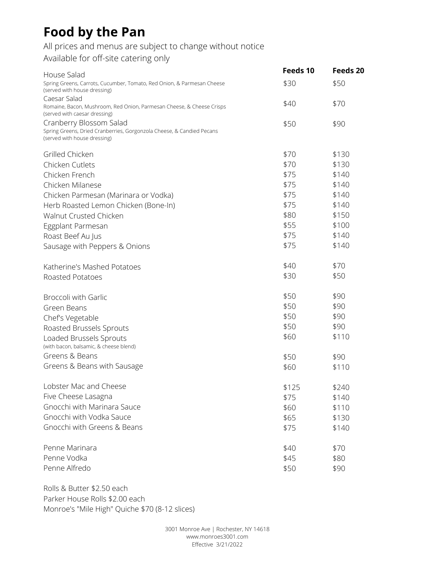## **Food by the Pan**

All prices and menus are subject to change without notice

Available for off-site catering only

| House Salad                                                                                                                      | Feeds 10 | Feeds 20 |
|----------------------------------------------------------------------------------------------------------------------------------|----------|----------|
| Spring Greens, Carrots, Cucumber, Tomato, Red Onion, & Parmesan Cheese<br>(served with house dressing)<br>Caesar Salad           | \$30     | \$50     |
| Romaine, Bacon, Mushroom, Red Onion, Parmesan Cheese, & Cheese Crisps<br>(served with caesar dressing)                           | \$40     | \$70     |
| Cranberry Blossom Salad<br>Spring Greens, Dried Cranberries, Gorgonzola Cheese, & Candied Pecans<br>(served with house dressing) | \$50     | \$90     |
| Grilled Chicken                                                                                                                  | \$70     | \$130    |
| Chicken Cutlets                                                                                                                  | \$70     | \$130    |
| Chicken French                                                                                                                   | \$75     | \$140    |
| Chicken Milanese                                                                                                                 | \$75     | \$140    |
| Chicken Parmesan (Marinara or Vodka)                                                                                             | \$75     | \$140    |
| Herb Roasted Lemon Chicken (Bone-In)                                                                                             | \$75     | \$140    |
| Walnut Crusted Chicken                                                                                                           | \$80     | \$150    |
| Eggplant Parmesan                                                                                                                | \$55     | \$100    |
| Roast Beef Au Jus                                                                                                                | \$75     | \$140    |
| Sausage with Peppers & Onions                                                                                                    | \$75     | \$140    |
| Katherine's Mashed Potatoes                                                                                                      | \$40     | \$70     |
| Roasted Potatoes                                                                                                                 | \$30     | \$50     |
| <b>Broccoli with Garlic</b>                                                                                                      | \$50     | \$90     |
| Green Beans                                                                                                                      | \$50     | \$90     |
| Chef's Vegetable                                                                                                                 | \$50     | \$90     |
| Roasted Brussels Sprouts                                                                                                         | \$50     | \$90     |
| Loaded Brussels Sprouts                                                                                                          | \$60     | \$110    |
| (with bacon, balsamic, & cheese blend)<br>Greens & Beans                                                                         |          |          |
| Greens & Beans with Sausage                                                                                                      | \$50     | \$90     |
|                                                                                                                                  | \$60     | \$110    |
| Lobster Mac and Cheese                                                                                                           | \$125    | \$240    |
| Five Cheese Lasagna                                                                                                              | \$75     | \$140    |
| Gnocchi with Marinara Sauce                                                                                                      | \$60     | \$110    |
| Gnocchi with Vodka Sauce                                                                                                         | \$65     | \$130    |
| Gnocchi with Greens & Beans                                                                                                      | \$75     | \$140    |
| Penne Marinara                                                                                                                   | \$40     | \$70     |
| Penne Vodka                                                                                                                      | \$45     | \$80     |
| Penne Alfredo                                                                                                                    | \$50     | \$90     |

Rolls & Butter \$2.50 each Parker House Rolls \$2.00 each Monroe's "Mile High" Quiche \$70 (8-12 slices)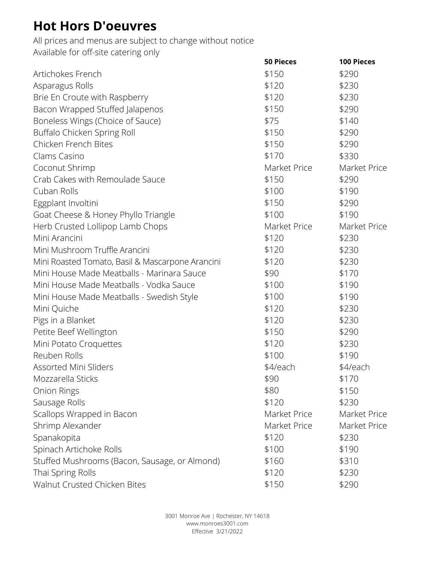## **Hot Hors D'oeuvres**

All prices and menus are subject to change without notice Available for off-site catering only

|                                                  | <b>50 Pieces</b> | 100 Pieces   |
|--------------------------------------------------|------------------|--------------|
| Artichokes French                                | \$150            | \$290        |
| Asparagus Rolls                                  | \$120            | \$230        |
| Brie En Croute with Raspberry                    | \$120            | \$230        |
| Bacon Wrapped Stuffed Jalapenos                  | \$150            | \$290        |
| Boneless Wings (Choice of Sauce)                 | \$75             | \$140        |
| Buffalo Chicken Spring Roll                      | \$150            | \$290        |
| Chicken French Bites                             | \$150            | \$290        |
| Clams Casino                                     | \$170            | \$330        |
| Coconut Shrimp                                   | Market Price     | Market Price |
| Crab Cakes with Remoulade Sauce                  | \$150            | \$290        |
| Cuban Rolls                                      | \$100            | \$190        |
| Eggplant Involtini                               | \$150            | \$290        |
| Goat Cheese & Honey Phyllo Triangle              | \$100            | \$190        |
| Herb Crusted Lollipop Lamb Chops                 | Market Price     | Market Price |
| Mini Arancini                                    | \$120            | \$230        |
| Mini Mushroom Truffle Arancini                   | \$120            | \$230        |
| Mini Roasted Tomato, Basil & Mascarpone Arancini | \$120            | \$230        |
| Mini House Made Meatballs - Marinara Sauce       | \$90             | \$170        |
| Mini House Made Meatballs - Vodka Sauce          | \$100            | \$190        |
| Mini House Made Meatballs - Swedish Style        | \$100            | \$190        |
| Mini Quiche                                      | \$120            | \$230        |
| Pigs in a Blanket                                | \$120            | \$230        |
| Petite Beef Wellington                           | \$150            | \$290        |
| Mini Potato Croquettes                           | \$120            | \$230        |
| Reuben Rolls                                     | \$100            | \$190        |
| Assorted Mini Sliders                            | \$4/each         | \$4/each     |
| Mozzarella Sticks                                | \$90             | \$170        |
| Onion Rings                                      | \$80             | \$150        |
| Sausage Rolls                                    | \$120            | \$230        |
| Scallops Wrapped in Bacon                        | Market Price     | Market Price |
| Shrimp Alexander                                 | Market Price     | Market Price |
| Spanakopita                                      | \$120            | \$230        |
| Spinach Artichoke Rolls                          | \$100            | \$190        |
| Stuffed Mushrooms (Bacon, Sausage, or Almond)    | \$160            | \$310        |
| Thai Spring Rolls                                | \$120            | \$230        |
| Walnut Crusted Chicken Bites                     | \$150            | \$290        |